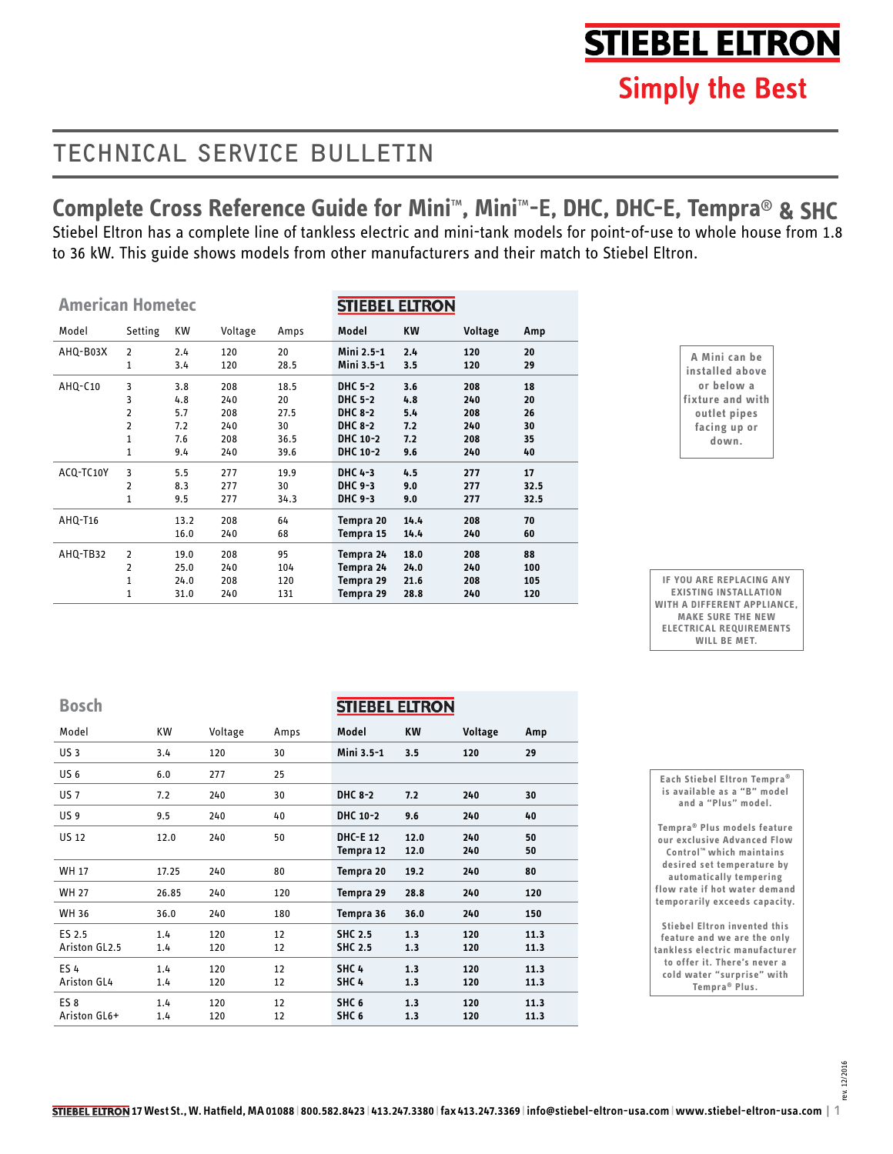# **STIEBEL ELTRON**

# TECHNICAL SERVICE BULLETIN

# **Complete Cross Reference Guide for Mini**™**, Mini**™**-E, DHC, DHC-E, Tempra**® **& SHC**

Stiebel Eltron has a complete line of tankless electric and mini-tank models for point-of-use to whole house from 1.8 to 36 kW. This guide shows models from other manufacturers and their match to Stiebel Eltron.

| <b>American Hometec</b> |                |           |         |      | <b>STIEBEL ELTRON</b> |           |         |      |
|-------------------------|----------------|-----------|---------|------|-----------------------|-----------|---------|------|
| Model                   | Setting        | <b>KW</b> | Voltage | Amps | Model                 | <b>KW</b> | Voltage | Amp  |
| AHQ-B03X                | 2              | 2.4       | 120     | 20   | Mini 2.5-1            | 2.4       | 120     | 20   |
|                         | 1              | 3.4       | 120     | 28.5 | Mini 3.5-1            | 3.5       | 120     | 29   |
| AHQ-C10                 | 3              | 3.8       | 208     | 18.5 | DHC 5-2               | 3.6       | 208     | 18   |
|                         | 3              | 4.8       | 240     | 20   | <b>DHC 5-2</b>        | 4.8       | 240     | 20   |
|                         | 2              | 5.7       | 208     | 27.5 | <b>DHC 8-2</b>        | 5.4       | 208     | 26   |
|                         | 2              | 7.2       | 240     | 30   | <b>DHC 8-2</b>        | 7.2       | 240     | 30   |
|                         | 1              | 7.6       | 208     | 36.5 | DHC 10-2              | 7.2       | 208     | 35   |
|                         | 1              | 9.4       | 240     | 39.6 | DHC 10-2              | 9.6       | 240     | 40   |
| ACQ-TC10Y               | 3              | 5.5       | 277     | 19.9 | DHC 4-3               | 4.5       | 277     | 17   |
|                         | 2              | 8.3       | 277     | 30   | DHC 9-3               | 9.0       | 277     | 32.5 |
|                         | 1              | 9.5       | 277     | 34.3 | DHC 9-3               | 9.0       | 277     | 32.5 |
| AHQ-T16                 |                | 13.2      | 208     | 64   | Tempra 20             | 14.4      | 208     | 70   |
|                         |                | 16.0      | 240     | 68   | Tempra 15             | 14.4      | 240     | 60   |
| AHQ-TB32                | $\overline{2}$ | 19.0      | 208     | 95   | Tempra 24             | 18.0      | 208     | 88   |
|                         | 2              | 25.0      | 240     | 104  | Tempra 24             | 24.0      | 240     | 100  |
|                         | 1              | 24.0      | 208     | 120  | Tempra 29             | 21.6      | 208     | 105  |
|                         | 1              | 31.0      | 240     | 131  | Tempra 29             | 28.8      | 240     | 120  |

**A Mini can be installed above or below a fixture and with outlet pipes facing up or down.**

**IF YOU ARE REPLACING ANY EXISTING INSTALLATION WITH A DIFFERENT APPLIANCE, MAKE SURE THE NEW ELECTRICAL REQUIREMENTS WILL BE MET.**

**Bosch**

| Bosch                           |            |            |          | <b>STIEBEL ELTRON</b>                |              |            |              |
|---------------------------------|------------|------------|----------|--------------------------------------|--------------|------------|--------------|
| Model                           | KW         | Voltage    | Amps     | Model                                | KW           | Voltage    | Amp          |
| <b>US3</b>                      | 3.4        | 120        | 30       | Mini 3.5-1                           | 3.5          | 120        | 29           |
| US <sub>6</sub>                 | 6.0        | 277        | 25       |                                      |              |            |              |
| <b>US7</b>                      | 7.2        | 240        | 30       | <b>DHC 8-2</b>                       | 7.2          | 240        | 30           |
| US <sub>9</sub>                 | 9.5        | 240        | 40       | DHC 10-2                             | 9.6          | 240        | 40           |
| <b>US 12</b>                    | 12.0       | 240        | 50       | <b>DHC-E 12</b><br>Tempra 12         | 12.0<br>12.0 | 240<br>240 | 50<br>50     |
| <b>WH 17</b>                    | 17.25      | 240        | 80       | Tempra 20                            | 19.2         | 240        | 80           |
| <b>WH 27</b>                    | 26.85      | 240        | 120      | Tempra 29                            | 28.8         | 240        | 120          |
| WH 36                           | 36.0       | 240        | 180      | Tempra 36                            | 36.0         | 240        | 150          |
| ES 2.5<br>Ariston GL2.5         | 1.4<br>1.4 | 120<br>120 | 12<br>12 | <b>SHC 2.5</b><br><b>SHC 2.5</b>     | 1.3<br>1.3   | 120<br>120 | 11.3<br>11.3 |
| <b>ES4</b><br>Ariston GL4       | 1.4<br>1.4 | 120<br>120 | 12<br>12 | SHC <sub>4</sub><br>SHC <sub>4</sub> | 1.3<br>1.3   | 120<br>120 | 11.3<br>11.3 |
| ES <sub>8</sub><br>Ariston GL6+ | 1.4<br>1.4 | 120<br>120 | 12<br>12 | SHC <sub>6</sub><br>SHC <sub>6</sub> | 1.3<br>1.3   | 120<br>120 | 11.3<br>11.3 |

| Each Stiebel Eltron Tempra <sup>®</sup> |
|-----------------------------------------|
| is available as a "B" model             |
| and a "Plus" model.                     |
| Tempra <sup>®</sup> Plus models feature |
| our exclusive Advanced Flow             |
| Control <sup>™</sup> which maintains    |
| desired set temperature by              |
| automatically tempering                 |
| flow rate if hot water demand           |
| temporarily exceeds capacity.           |
|                                         |
| <b>Stiebel Eltron invented this</b>     |
| faatura and wa ara tha antu             |

**feature and we are the only tankless electric manufacturer to offer it. There's never a cold water "surprise" with Tempra® Plus.**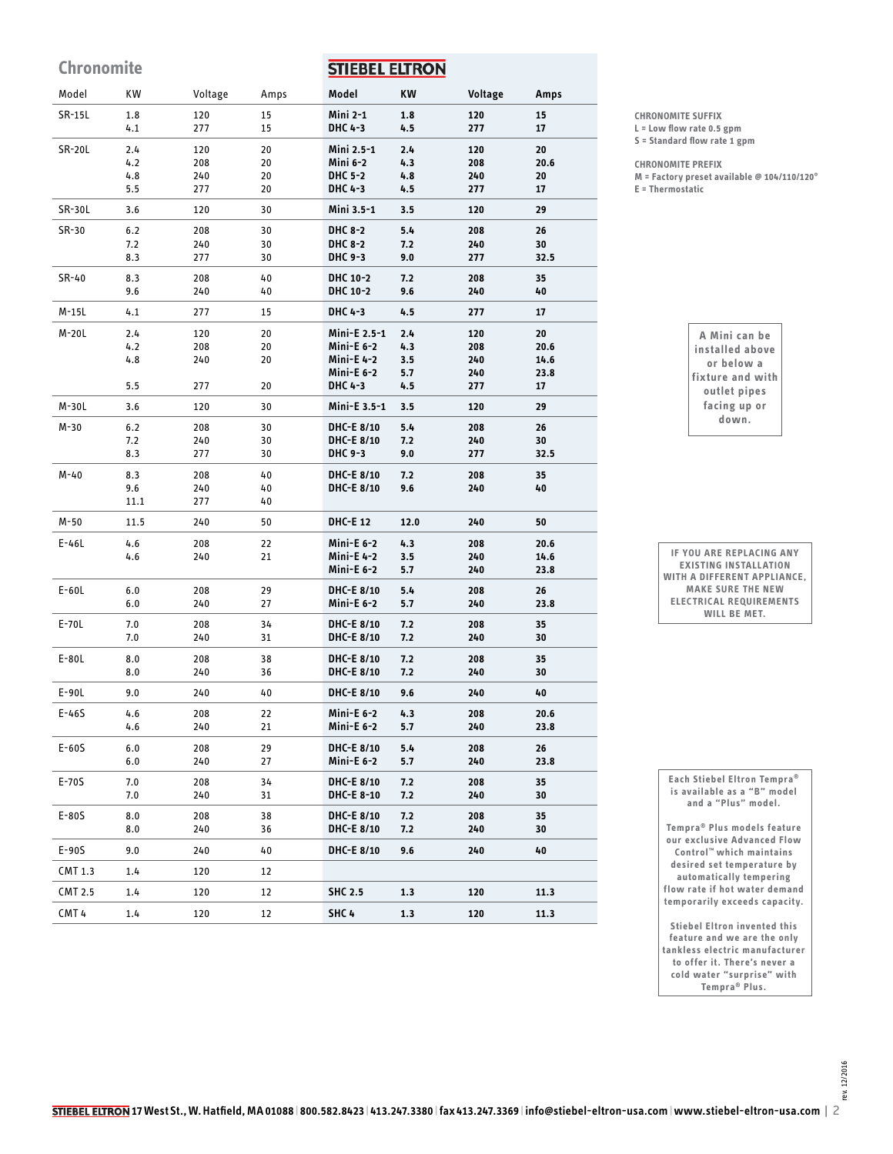**Chronomite STIEBEL ELTRON** Model KW Voltage Amps **Model KW Voltage Amps Mini 2-1** SR-15L 1.8 120 15 **1.8 120 15 DHC 4-3** 277 15 4.1 **4.5 277 17** SR-20L 2.4 120 20 **Mini 2.5-1 2.4 120 20** 208 20 **Mini 6-2 208 20.6** 4.2 **4.3 DHC 5-2** 4.8 240 20 **4.8 240 20** 5.5 277 20 **DHC 4-3 4.5 277 17** SR-30L 3.6 120 30 **Mini 3.5-1 3.5 120 29 DHC 8-2** SR-30 6.2 208 30 **5.4 208 26 DHC 8-2** 7.2 240 30 **7.2 240 30** 277 **DHC 9-3 32.5** 8.3 30 **9.0 277** SR-40 8.3 208 40 **DHC 10-2 7.2 208 35** 9.6 240 40 **DHC 10-2 9.6 240 40** M-15L 4.1 277 15 **DHC 4-3 4.5 277 17** M-20L 2.4 120 20 **Mini-E 2.5-1 2.4 120 20** 208 **Mini-E 6-2 208 20.6** 4.2 20 **4.3 Mini-E 4-2** 4.8 240  $20$ **3.5 240 14.6 Mini-E 6-2 5.7 240 23.8 DHC 4-3** 5.5 277 20 **4.5 277 17** M-30L 3.6 120 30 **Mini-E 3.5-1 3.5 120 29** 208 **DHC-E 8/10 208 26** M-30 6.2 30 **5.4** 7.2 240 30 **DHC-E 8/10 7.2 240 30** 8.3 277 30 **DHC 9-3 9.0 277 32.5** M-40 8.3 208 40 **DHC-E 8/10 7.2 208 35** 9.6 240 40 **DHC-E 8/10 240 40 9.6** 277 11.1 40 M-50 11.5 240 50 **DHC-E 12 12.0 240 50** E-46L 4.6 208 22 **Mini-E 6-2 4.3 208 20.6** 4.6 240 21 **Mini-E 4-2 3.5 240 14.6 Mini-E 6-2 240 23.8 5.7 DHC-E 8/10**  E-60L 6.0 208 29 **5.4 208 26** 6.0 240 27 **Mini-E 6-2 5.7 240 23.8** E-70L 7.0 **DHC-E 8/10** 208 34 **208 35 7.2** 7.0 240 31 **DHC-E 8/10 7.2 240 30** E-80L 8.0 208 38 **DHC-E 8/10 7.2 208 35** 8.0 240 36 **DHC-E 8/10 7.2 240 30** E-90L 9.0 240 40 **DHC-E 8/10 9.6 240 40** E-46S 4.6 208 22 **Mini-E 6-2 4.3 208 20.6** 4.6 240 21 **Mini-E 6-2 5.7 240 23.8** E-60S 6.0 208 29 **DHC-E 8/10 5.4 208 26** 240 27 **Mini-E 6-2 240 23.8** 6.0 **5.7** E-70S 7.0 **DHC-E 8/10** 208 34 **7.2 208 35** 7.0 240 31 **DHC-E 8-10 7.2 240 30** E-80S 8.0 208 38 **DHC-E 8/10 7.2 208 35 DHC-E 8/10** 8.0 240 36 **7.2 240 30** E-90S 9.0 240 40 **DHC-E 8/10 9.6 240 40** CMT 1.3 1.4 120 12 CMT 2.5 1.4 120 12 **SHC 2.5 1.3 120 11.3** CMT 4 1.4 120 12 **SHC 4 1.3 120 11.3**

**CHRONOMITE SUFFIX**

**L = Low flow rate 0.5 gpm S = Standard flow rate 1 gpm**

**CHRONOMITE PREFIX**

**M = Factory preset available @ 104/110/120° E = Thermostatic**

> **A Mini can be installed above or below a fixture and with outlet pipes facing up or down.**

**Each Stiebel Eltron Tempra® is available as a "B" model and a "Plus" model.** 

**IF YOU ARE REPLACING ANY EXISTING INSTALLATION WITH A DIFFERENT APPLIANCE, MAKE SURE THE NEW ELECTRICAL REQUIREMENTS WILL BE MET.**

**Tempra® Plus models feature our exclusive Advanced Flow Control™ which maintains desired set temperature by automatically tempering flow rate if hot water demand temporarily exceeds capacity.**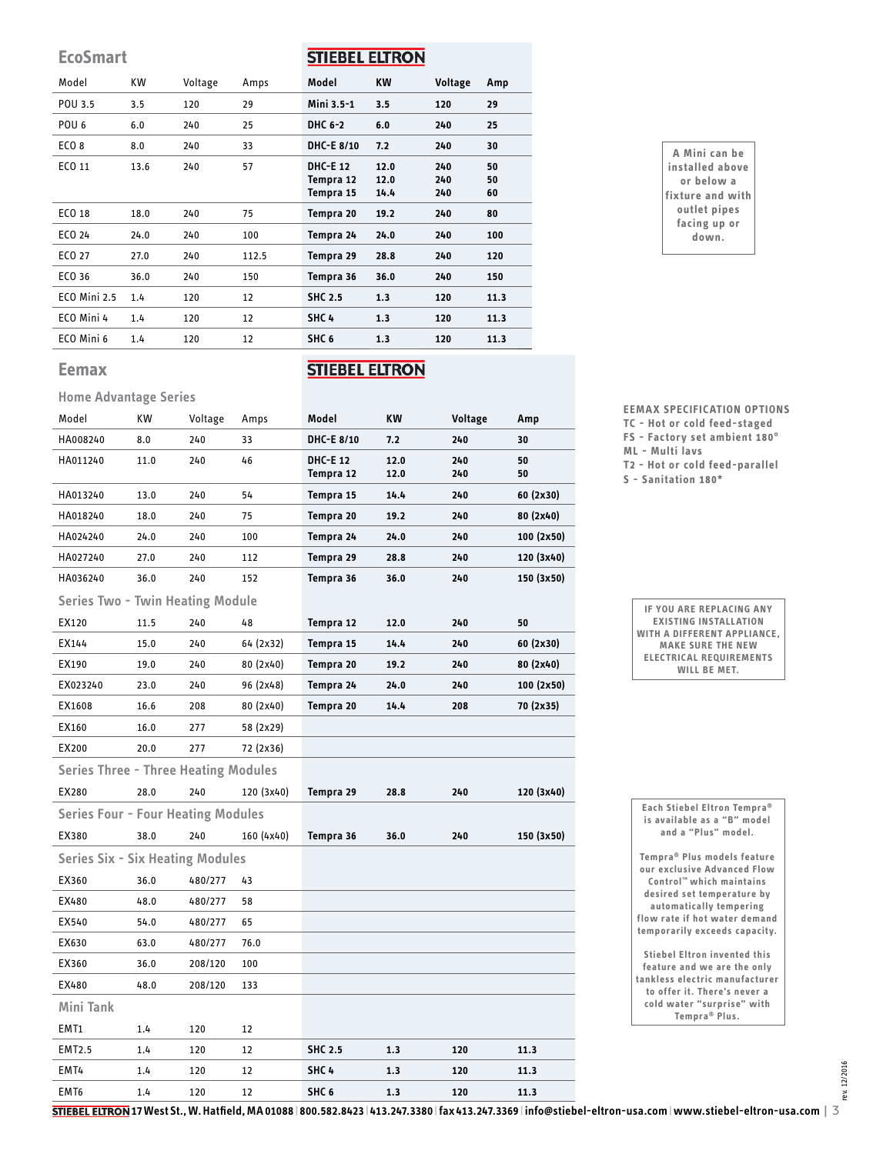**EcoSmart**

### **STIEBEL ELTRON**

| Model               | KW   | Voltage | Amps  | Model                                     | KW                   | Voltage           | Amp            |
|---------------------|------|---------|-------|-------------------------------------------|----------------------|-------------------|----------------|
| POU 3.5             | 3.5  | 120     | 29    | Mini 3.5-1                                | 3.5                  | 120               | 29             |
| POU <sub>6</sub>    | 6.0  | 240     | 25    | DHC 6-2                                   | 6.0                  | 240               | 25             |
| ECO <sub>8</sub>    | 8.0  | 240     | 33    | DHC-E 8/10                                | 7.2                  | 240               | 30             |
| ECO 11              | 13.6 | 240     | 57    | <b>DHC-E 12</b><br>Tempra 12<br>Tempra 15 | 12.0<br>12.0<br>14.4 | 240<br>240<br>240 | 50<br>50<br>60 |
| ECO 18              | 18.0 | 240     | 75    | Tempra 20                                 | 19.2                 | 240               | 80             |
| ECO 24              | 24.0 | 240     | 100   | Tempra 24                                 | 24.0                 | 240               | 100            |
| ECO 27              | 27.0 | 240     | 112.5 | Tempra 29                                 | 28.8                 | 240               | 120            |
| ECO 36              | 36.0 | 240     | 150   | Tempra 36                                 | 36.0                 | 240               | 150            |
| <b>ECO Mini 2.5</b> | 1.4  | 120     | 12    | <b>SHC 2.5</b>                            | 1.3                  | 120               | 11.3           |
| ECO Mini 4          | 1.4  | 120     | 12    | SHC <sub>4</sub>                          | 1.3                  | 120               | 11.3           |
| ECO Mini 6          | 1.4  | 120     | 12    | SHC <sub>6</sub>                          | 1.3                  | 120               | 11.3           |

## **STIEBEL ELTRON**

#### **Home Advantage Series**

**Eemax**

| Model                                       | КW   | Voltage | Amps       | Model            | ΚW   | Voltage | Amp        |
|---------------------------------------------|------|---------|------------|------------------|------|---------|------------|
| HA008240                                    | 8.0  | 240     | 33         | DHC-E 8/10       | 7.2  | 240     | 30         |
| HA011240                                    | 11.0 | 240     | 46         | <b>DHC-E 12</b>  | 12.0 | 240     | 50         |
|                                             |      |         |            | Tempra 12        | 12.0 | 240     | 50         |
| HA013240                                    | 13.0 | 240     | 54         | Tempra 15        | 14.4 | 240     | 60 (2x30)  |
| HA018240                                    | 18.0 | 240     | 75         | Tempra 20        | 19.2 | 240     | 80 (2x40)  |
| HA024240                                    | 24.0 | 240     | 100        | Tempra 24        | 24.0 | 240     | 100 (2x50) |
| HA027240                                    | 27.0 | 240     | 112        | Tempra 29        | 28.8 | 240     | 120 (3x40) |
| HA036240                                    | 36.0 | 240     | 152        | Tempra 36        | 36.0 | 240     | 150 (3x50) |
| <b>Series Two - Twin Heating Module</b>     |      |         |            |                  |      |         |            |
| EX120                                       | 11.5 | 240     | 48         | Tempra 12        | 12.0 | 240     | 50         |
| EX144                                       | 15.0 | 240     | 64 (2x32)  | Tempra 15        | 14.4 | 240     | 60 (2x30)  |
| EX190                                       | 19.0 | 240     | 80 (2x40)  | Tempra 20        | 19.2 | 240     | 80 (2x40)  |
| EX023240                                    | 23.0 | 240     | 96 (2x48)  | Tempra 24        | 24.0 | 240     | 100(2x50)  |
| EX1608                                      | 16.6 | 208     | 80 (2x40)  | Tempra 20        | 14.4 | 208     | 70 (2x35)  |
| EX160                                       | 16.0 | 277     | 58 (2x29)  |                  |      |         |            |
| EX200                                       | 20.0 | 277     | 72 (2x36)  |                  |      |         |            |
| <b>Series Three - Three Heating Modules</b> |      |         |            |                  |      |         |            |
| EX280                                       | 28.0 | 240     | 120 (3x40) | Tempra 29        | 28.8 | 240     | 120 (3x40) |
| <b>Series Four - Four Heating Modules</b>   |      |         |            |                  |      |         |            |
| EX380                                       | 38.0 | 240     | 160 (4x40) | Tempra 36        | 36.0 | 240     | 150 (3x50) |
| <b>Series Six - Six Heating Modules</b>     |      |         |            |                  |      |         |            |
| EX360                                       | 36.0 | 480/277 | 43         |                  |      |         |            |
| EX480                                       | 48.0 | 480/277 | 58         |                  |      |         |            |
| EX540                                       | 54.0 | 480/277 | 65         |                  |      |         |            |
| EX630                                       | 63.0 | 480/277 | 76.0       |                  |      |         |            |
| EX360                                       | 36.0 | 208/120 | 100        |                  |      |         |            |
| EX480                                       | 48.0 | 208/120 | 133        |                  |      |         |            |
| Mini Tank                                   |      |         |            |                  |      |         |            |
| EMT1                                        | 1.4  | 120     | 12         |                  |      |         |            |
| <b>EMT2.5</b>                               | 1.4  | 120     | 12         | <b>SHC 2.5</b>   | 1.3  | 120     | 11.3       |
| EMT4                                        | 1.4  | 120     | 12         | SHC <sub>4</sub> | 1.3  | 120     | 11.3       |
| EMT <sub>6</sub>                            | 1.4  | 120     | 12         | SHC <sub>6</sub> | 1.3  | 120     | 11.3       |

**A Mini can be installed above or below a fixture and with outlet pipes facing up or down.**

**EEMAX SPECIFICATION OPTIONS**

**TC - Hot or cold feed-staged FS - Factory set ambient 180°**

**ML - Multi lavs**

**T2 - Hot or cold feed-parallel**

**S - Sanitation 180\***

| IF YOU ARE REPLACING ANY       |
|--------------------------------|
| <b>EXISTING INSTALLATION</b>   |
| WITH A DIFFERENT APPLIANCE.    |
| <b>MAKE SURE THE NEW</b>       |
| <b>ELECTRICAL REQUIREMENTS</b> |
| WILL BE MET.                   |

| Each Stiebel Eltron Tempra®<br>is available as a "B" model<br>and a "Plus" model.                                                                                                                                             |
|-------------------------------------------------------------------------------------------------------------------------------------------------------------------------------------------------------------------------------|
| Tempra <sup>®</sup> Plus models feature<br>our exclusive Advanced Flow<br>Control™ which maintains<br>desired set temperature by<br>automatically tempering<br>flow rate if hot water demand<br>temporarily exceeds capacity. |
| <b>Stiebel Eltron invented this</b><br>feature and we are the only<br>tankless electric manufacturer<br>to offer it. There's never a<br>cold water "surprise" with<br>Tempra <sup>®</sup> Plus.                               |

**17 West St., W. Hatfield, MA 01088 | 800.582.8423 | 413.247.3380 | fax 413.247.3369 | info@stiebel-eltron-usa.com | www.stiebel-eltron-usa.com** | 3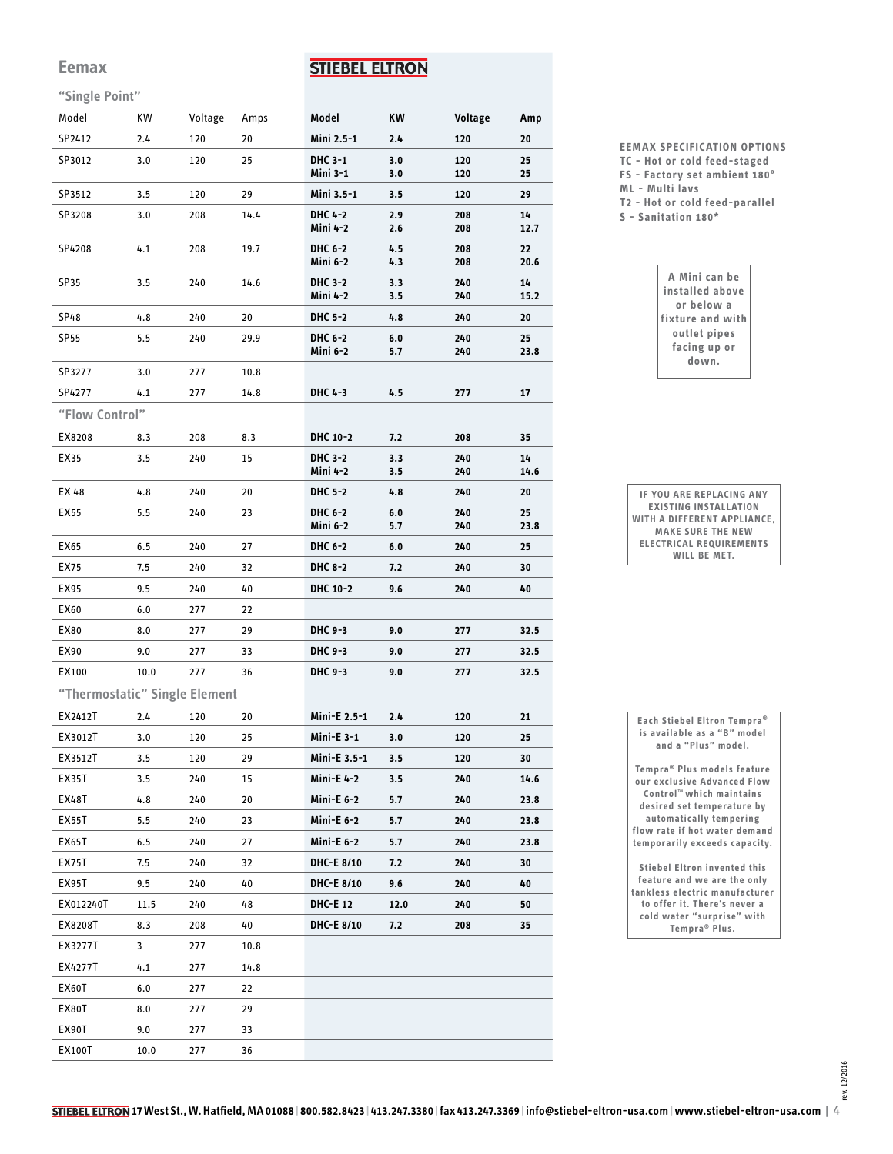#### **Eemax**

### **STIEBEL ELTRON**

#### **"Single Point"**

| Model                         | КW   | Voltage | Amps | Model                      | ΚW         | Voltage    | Amp        |
|-------------------------------|------|---------|------|----------------------------|------------|------------|------------|
| SP2412                        | 2.4  | 120     | 20   | Mini 2.5-1                 | 2.4        | 120        | 20         |
| SP3012                        | 3.0  | 120     | 25   | DHC 3-1<br>Mini 3-1        | 3.0<br>3.0 | 120<br>120 | 25<br>25   |
| SP3512                        | 3.5  | 120     | 29   | Mini 3.5-1                 | 3.5        | 120        | 29         |
| SP3208                        | 3.0  | 208     | 14.4 | DHC 4-2<br>Mini 4-2        | 2.9<br>2.6 | 208<br>208 | 14<br>12.7 |
| SP4208                        | 4.1  | 208     | 19.7 | DHC 6-2<br>Mini 6-2        | 4.5<br>4.3 | 208<br>208 | 22<br>20.6 |
| SP35                          | 3.5  | 240     | 14.6 | DHC 3-2<br>Mini 4-2        | 3.3<br>3.5 | 240<br>240 | 14<br>15.2 |
| SP48                          | 4.8  | 240     | 20   | <b>DHC 5-2</b>             | 4.8        | 240        | 20         |
| <b>SP55</b>                   | 5.5  | 240     | 29.9 | DHC 6-2<br>Mini 6-2        | 6.0<br>5.7 | 240<br>240 | 25<br>23.8 |
| SP3277                        | 3.0  | 277     | 10.8 |                            |            |            |            |
| SP4277                        | 4.1  | 277     | 14.8 | DHC 4-3                    | 4.5        | 277        | 17         |
| "Flow Control"                |      |         |      |                            |            |            |            |
| EX8208                        | 8.3  | 208     | 8.3  | DHC 10-2                   | 7.2        | 208        | 35         |
| EX35                          | 3.5  | 240     | 15   | DHC 3-2<br>Mini 4-2        | 3.3<br>3.5 | 240<br>240 | 14<br>14.6 |
| EX 48                         | 4.8  | 240     | 20   | DHC 5-2                    | 4.8        | 240        | 20         |
| EX55                          | 5.5  | 240     | 23   | <b>DHC 6-2</b><br>Mini 6-2 | 6.0<br>5.7 | 240<br>240 | 25<br>23.8 |
| EX65                          | 6.5  | 240     | 27   | DHC 6-2                    | 6.0        | 240        | 25         |
| EX75                          | 7.5  | 240     | 32   | <b>DHC 8-2</b>             | 7.2        | 240        | 30         |
| EX95                          | 9.5  | 240     | 40   | DHC 10-2                   | 9.6        | 240        | 40         |
| EX60                          | 6.0  | 277     | 22   |                            |            |            |            |
| EX80                          | 8.0  | 277     | 29   | DHC 9-3                    | 9.0        | 277        | 32.5       |
| EX90                          | 9.0  | 277     | 33   | DHC 9-3                    | 9.0        | 277        | 32.5       |
| EX100                         | 10.0 | 277     | 36   | DHC 9-3                    | 9.0        | 277        | 32.5       |
| "Thermostatic" Single Element |      |         |      |                            |            |            |            |
| EX2412T                       | 2.4  | 120     | 20   | Mini-E 2.5-1               | 2.4        | 120        | 21         |
| EX3012T                       | 3.0  | 120     | 25   | <b>Mini-E 3-1</b>          | 3.0        | 120        | 25         |
| EX3512T                       | 3.5  | 120     | 29   | Mini-E 3.5-1               | 3.5        | 120        | 30         |
| EX35T                         | 3.5  | 240     | 15   | <b>Mini-E 4-2</b>          | 3.5        | 240        | 14.6       |
| EX48T                         | 4.8  | 240     | 20   | <b>Mini-E 6-2</b>          | 5.7        | 240        | 23.8       |
| <b>EX55T</b>                  | 5.5  | 240     | 23   | <b>Mini-E 6-2</b>          | 5.7        | 240        | 23.8       |
| EX65T                         | 6.5  | 240     | 27   | <b>Mini-E 6-2</b>          | 5.7        | 240        | 23.8       |
| <b>EX75T</b>                  | 7.5  | 240     | 32   | DHC-E 8/10                 | 7.2        | 240        | 30         |
| EX95T                         | 9.5  | 240     | 40   | DHC-E 8/10                 | 9.6        | 240        | 40         |
| EX012240T                     | 11.5 | 240     | 48   | <b>DHC-E 12</b>            | 12.0       | 240        | 50         |
| EX8208T                       | 8.3  | 208     | 40   | <b>DHC-E 8/10</b>          | 7.2        | 208        | 35         |
| EX3277T                       | 3    | 277     | 10.8 |                            |            |            |            |
| EX4277T                       | 4.1  | 277     | 14.8 |                            |            |            |            |
| EX60T                         | 6.0  | 277     | 22   |                            |            |            |            |
| EX80T                         | 8.0  | 277     | 29   |                            |            |            |            |
| EX90T                         | 9.0  | 277     | 33   |                            |            |            |            |
| EX100T                        | 10.0 | 277     | 36   |                            |            |            |            |

- **EEMAX SPECIFICATION OPTIONS TC - Hot or cold feed-staged FS - Factory set ambient 180° ML - Multi lavs**
- **T2 Hot or cold feed-parallel**
- **S Sanitation 180\***

**IF YOU ARE REPLACING ANY EXISTING INSTALLATION WITH A DIFFERENT APPLIANCE, MAKE SURE THE NEW ELECTRICAL REQUIREMENTS WILL BE MET.**

**Each Stiebel Eltron Tempra® is available as a "B" model and a "Plus" model.** 

**Tempra® Plus models feature our exclusive Advanced Flow Control™ which maintains desired set temperature by automatically tempering flow rate if hot water demand temporarily exceeds capacity.**

**A Mini can be installed above or below a fixture and with outlet pipes facing up or down.**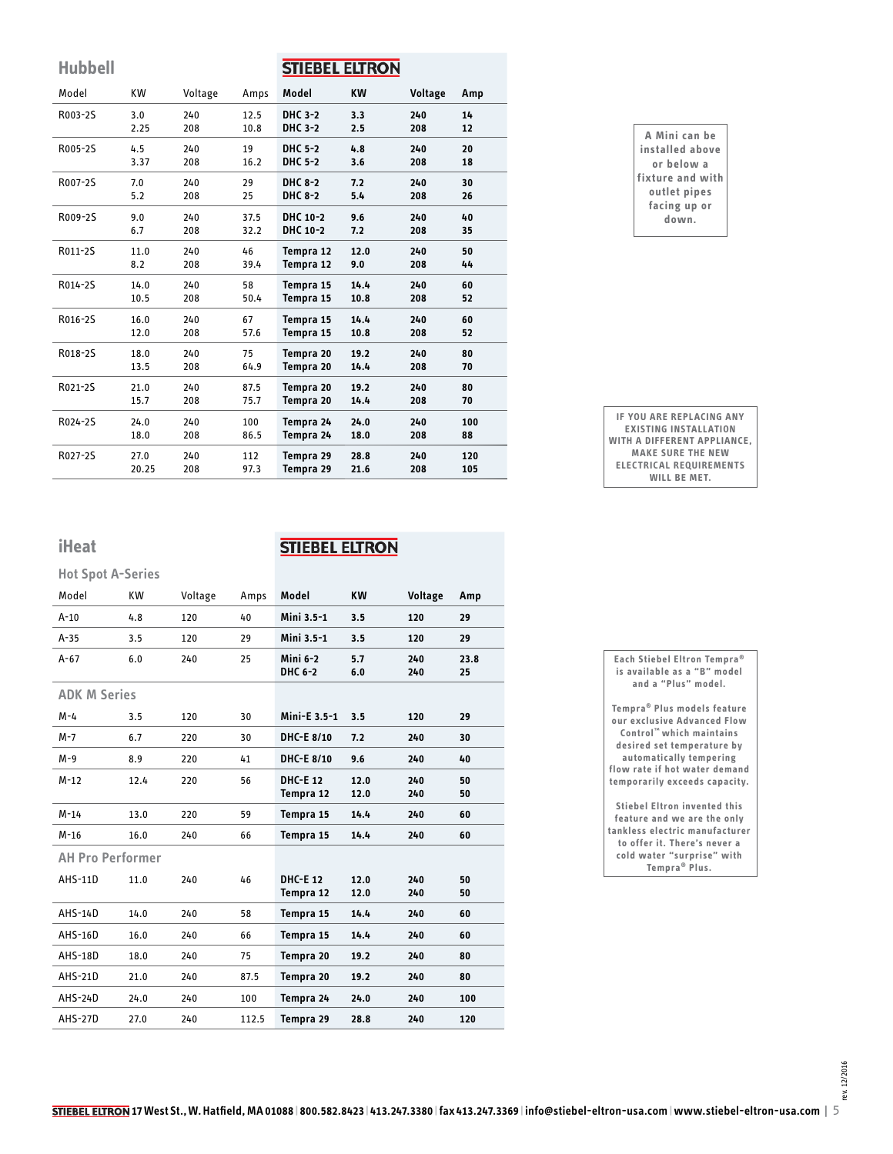| <b>Hubbell</b> |           |         |      | <b>STIEBEL ELTRON</b> |      |         |     |
|----------------|-----------|---------|------|-----------------------|------|---------|-----|
| Model          | <b>KW</b> | Voltage | Amps | Model                 | KW   | Voltage | Amp |
| R003-2S        | 3.0       | 240     | 12.5 | DHC 3-2               | 3.3  | 240     | 14  |
|                | 2.25      | 208     | 10.8 | DHC 3-2               | 2.5  | 208     | 12  |
| R005-2S        | 4.5       | 240     | 19   | <b>DHC 5-2</b>        | 4.8  | 240     | 20  |
|                | 3.37      | 208     | 16.2 | <b>DHC 5-2</b>        | 3.6  | 208     | 18  |
| R007-2S        | 7.0       | 240     | 29   | <b>DHC 8-2</b>        | 7.2  | 240     | 30  |
|                | 5.2       | 208     | 25   | <b>DHC 8-2</b>        | 5.4  | 208     | 26  |
| R009-2S        | 9.0       | 240     | 37.5 | DHC 10-2              | 9.6  | 240     | 40  |
|                | 6.7       | 208     | 32.2 | DHC 10-2              | 7.2  | 208     | 35  |
| R011-2S        | 11.0      | 240     | 46   | Tempra 12             | 12.0 | 240     | 50  |
|                | 8.2       | 208     | 39.4 | Tempra 12             | 9.0  | 208     | 44  |
| R014-2S        | 14.0      | 240     | 58   | Tempra 15             | 14.4 | 240     | 60  |
|                | 10.5      | 208     | 50.4 | Tempra 15             | 10.8 | 208     | 52  |
| R016-2S        | 16.0      | 240     | 67   | Tempra 15             | 14.4 | 240     | 60  |
|                | 12.0      | 208     | 57.6 | Tempra 15             | 10.8 | 208     | 52  |
| R018-2S        | 18.0      | 240     | 75   | Tempra 20             | 19.2 | 240     | 80  |
|                | 13.5      | 208     | 64.9 | Tempra 20             | 14.4 | 208     | 70  |
| R021-2S        | 21.0      | 240     | 87.5 | Tempra 20             | 19.2 | 240     | 80  |
|                | 15.7      | 208     | 75.7 | Tempra 20             | 14.4 | 208     | 70  |
| R024-2S        | 24.0      | 240     | 100  | Tempra 24             | 24.0 | 240     | 100 |
|                | 18.0      | 208     | 86.5 | Tempra 24             | 18.0 | 208     | 88  |
| R027-2S        | 27.0      | 240     | 112  | Tempra 29             | 28.8 | 240     | 120 |
|                | 20.25     | 208     | 97.3 | Tempra 29             | 21.6 | 208     | 105 |

| A Mini can be    |
|------------------|
| installed above  |
| or below a       |
| fixture and with |
| outlet pipes     |
| facing up or     |
| down.            |
|                  |

**IF YOU ARE REPLACING ANY EXISTING INSTALLATION WITH A DIFFERENT APPLIANCE, MAKE SURE THE NEW ELECTRICAL REQUIREMENTS WILL BE MET.**

**iHeat**

### **STIEBEL ELTRON**

| <b>Hot Spot A-Series</b> |           |         |       |                             |              |            |            |
|--------------------------|-----------|---------|-------|-----------------------------|--------------|------------|------------|
| Model                    | <b>KW</b> | Voltage | Amps  | Model                       | <b>KW</b>    | Voltage    | Amp        |
| $A-10$                   | 4.8       | 120     | 40    | Mini 3.5-1                  | 3.5          | 120        | 29         |
| $A-35$                   | 3.5       | 120     | 29    | Mini 3.5-1                  | 3.5          | 120        | 29         |
| $A-67$                   | 6.0       | 240     | 25    | Mini 6-2<br>DHC 6-2         | 5.7<br>6.0   | 240<br>240 | 23.8<br>25 |
| <b>ADK M Series</b>      |           |         |       |                             |              |            |            |
| $M - 4$                  | 3.5       | 120     | 30    | Mini-E 3.5-1                | 3.5          | 120        | 29         |
| M-7                      | 6.7       | 220     | 30    | DHC-E 8/10                  | 7.2          | 240        | 30         |
| $M-9$                    | 8.9       | 220     | 41    | DHC-E 8/10                  | 9.6          | 240        | 40         |
| $M-12$                   | 12.4      | 220     | 56    | <b>DHC-E12</b><br>Tempra 12 | 12.0<br>12.0 | 240<br>240 | 50<br>50   |
| $M-14$                   | 13.0      | 220     | 59    | Tempra 15                   | 14.4         | 240        | 60         |
| $M-16$                   | 16.0      | 240     | 66    | Tempra 15                   | 14.4         | 240        | 60         |
| <b>AH Pro Performer</b>  |           |         |       |                             |              |            |            |
| <b>AHS-11D</b>           | 11.0      | 240     | 46    | <b>DHC-E12</b><br>Tempra 12 | 12.0<br>12.0 | 240<br>240 | 50<br>50   |
| AHS-14D                  | 14.0      | 240     | 58    | Tempra 15                   | 14.4         | 240        | 60         |
| AHS-16D                  | 16.0      | 240     | 66    | Tempra 15                   | 14.4         | 240        | 60         |
| AHS-18D                  | 18.0      | 240     | 75    | Tempra 20                   | 19.2         | 240        | 80         |
| AHS-21D                  | 21.0      | 240     | 87.5  | Tempra 20                   | 19.2         | 240        | 80         |
| AHS-24D                  | 24.0      | 240     | 100   | Tempra 24                   | 24.0         | 240        | 100        |
| <b>AHS-27D</b>           | 27.0      | 240     | 112.5 | Tempra 29                   | 28.8         | 240        | 120        |

**Each Stiebel Eltron Tempra® is available as a "B" model and a "Plus" model. Tempra® Plus models feature** 

**our exclusive Advanced Flow Control™ which maintains desired set temperature by automatically tempering flow rate if hot water demand temporarily exceeds capacity.**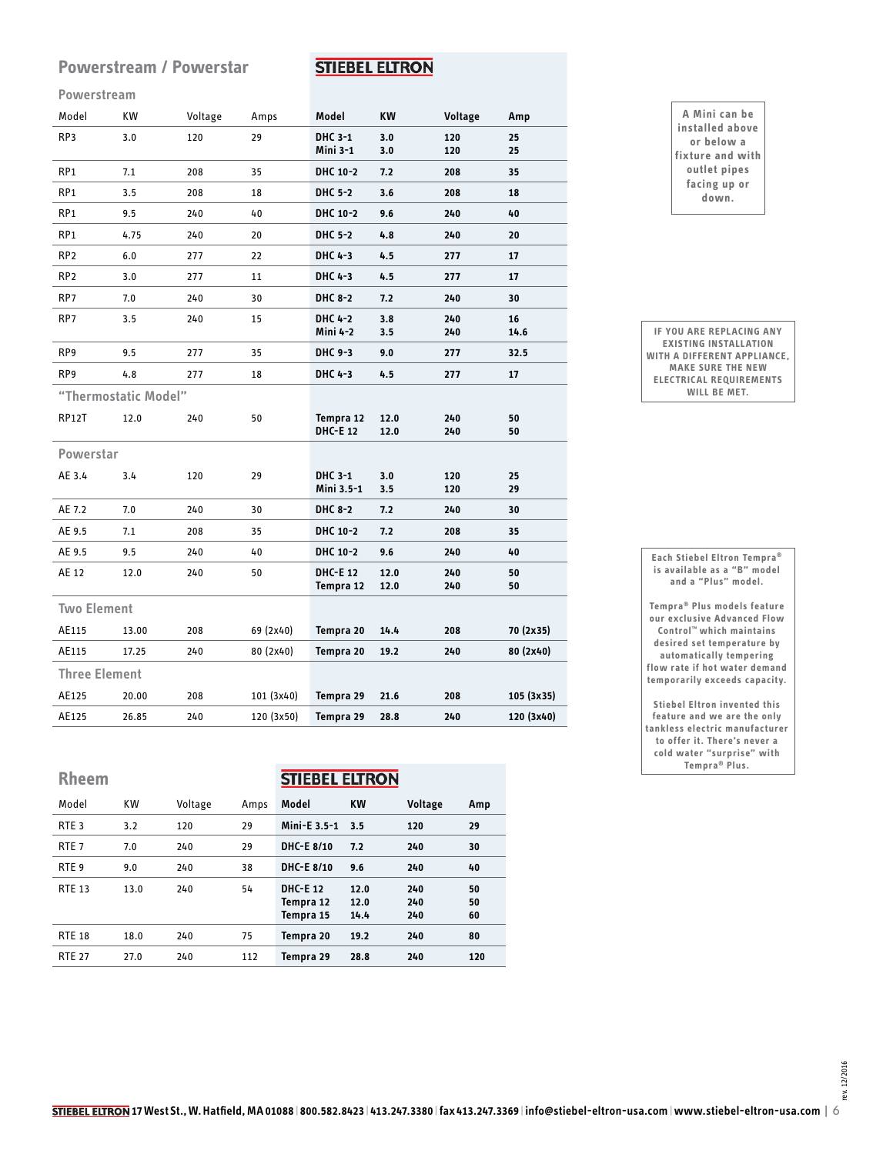#### **Powerstream / Powerstar**

#### **STIEBEL ELTRON**

#### **Powerstream**

| Model                | <b>KW</b>            | Voltage | Amps       | Model                        | <b>KW</b>    | Voltage    | Amp        |
|----------------------|----------------------|---------|------------|------------------------------|--------------|------------|------------|
| RP3                  | 3.0                  | 120     | 29         | DHC 3-1<br>Mini 3-1          | 3.0<br>3.0   | 120<br>120 | 25<br>25   |
| RP <sub>1</sub>      | 7.1                  | 208     | 35         | DHC 10-2                     | 7.2          | 208        | 35         |
| RP <sub>1</sub>      | 3.5                  | 208     | 18         | <b>DHC 5-2</b>               | 3.6          | 208        | 18         |
| RP <sub>1</sub>      | 9.5                  | 240     | 40         | DHC 10-2                     | 9.6          | 240        | 40         |
| RP <sub>1</sub>      | 4.75                 | 240     | 20         | DHC 5-2                      | 4.8          | 240        | 20         |
| RP <sub>2</sub>      | 6.0                  | 277     | 22         | DHC 4-3                      | 4.5          | 277        | 17         |
| RP <sub>2</sub>      | 3.0                  | 277     | 11         | DHC 4-3                      | 4.5          | 277        | 17         |
| RP7                  | 7.0                  | 240     | 30         | DHC 8-2                      | 7.2          | 240        | 30         |
| RP7                  | 3.5                  | 240     | 15         | DHC 4-2<br>Mini 4-2          | 3.8<br>3.5   | 240<br>240 | 16<br>14.6 |
| RP9                  | 9.5                  | 277     | 35         | DHC 9-3                      | 9.0          | 277        | 32.5       |
| RP <sub>9</sub>      | 4.8                  | 277     | 18         | DHC 4-3                      | 4.5          | 277        | 17         |
|                      | "Thermostatic Model" |         |            |                              |              |            |            |
| RP12T                | 12.0                 | 240     | 50         | Tempra 12<br><b>DHC-E 12</b> | 12.0<br>12.0 | 240<br>240 | 50<br>50   |
| Powerstar            |                      |         |            |                              |              |            |            |
| AE 3.4               | 3.4                  | 120     | 29         | DHC 3-1<br>Mini 3.5-1        | 3.0<br>3.5   | 120<br>120 | 25<br>29   |
| AE 7.2               | 7.0                  | 240     | 30         | DHC 8-2                      | 7.2          | 240        | 30         |
| AE 9.5               | 7.1                  | 208     | 35         | DHC 10-2                     | 7.2          | 208        | 35         |
| AE 9.5               | 9.5                  | 240     | 40         | DHC 10-2                     | 9.6          | 240        | 40         |
| AE 12                | 12.0                 | 240     | 50         | <b>DHC-E 12</b><br>Tempra 12 | 12.0<br>12.0 | 240<br>240 | 50<br>50   |
| <b>Two Element</b>   |                      |         |            |                              |              |            |            |
| AE115                | 13.00                | 208     | 69 (2x40)  | Tempra 20                    | 14.4         | 208        | 70 (2x35)  |
| AE115                | 17.25                | 240     | 80 (2x40)  | Tempra 20                    | 19.2         | 240        | 80 (2x40)  |
| <b>Three Element</b> |                      |         |            |                              |              |            |            |
| AE125                | 20.00                | 208     | 101 (3x40) | Tempra 29                    | 21.6         | 208        | 105 (3x35) |
| AE125                | 26.85                | 240     | 120 (3x50) | Tempra 29                    | 28.8         | 240        | 120 (3x40) |
|                      |                      |         |            |                              |              |            |            |

# **Rheem**

**STIEBEL ELTRON** 

| Model            | <b>KW</b> | Voltage | Amps | Model                                    | <b>KW</b>            | Voltage           | Amp            |
|------------------|-----------|---------|------|------------------------------------------|----------------------|-------------------|----------------|
| RTE <sub>3</sub> | 3.2       | 120     | 29   | Mini-E 3.5-1                             | 3.5                  | 120               | 29             |
| RTE <sub>7</sub> | 7.0       | 240     | 29   | <b>DHC-E 8/10</b>                        | 7.2                  | 240               | 30             |
| RTE <sub>9</sub> | 9.0       | 240     | 38   | DHC-E 8/10                               | 9.6                  | 240               | 40             |
| <b>RTE 13</b>    | 13.0      | 240     | 54   | <b>DHC-E12</b><br>Tempra 12<br>Tempra 15 | 12.0<br>12.0<br>14.4 | 240<br>240<br>240 | 50<br>50<br>60 |
| <b>RTE 18</b>    | 18.0      | 240     | 75   | Tempra 20                                | 19.2                 | 240               | 80             |
| <b>RTE 27</b>    | 27.0      | 240     | 112  | Tempra 29                                | 28.8                 | 240               | 120            |
|                  |           |         |      |                                          |                      |                   |                |

| A Mini can be    |
|------------------|
| installed above  |
| or below a       |
| fixture and with |
| outlet pipes     |
| facing up or     |
| down.            |

**IF YOU ARE REPLACING ANY EXISTING INSTALLATION WITH A DIFFERENT APPLIANCE, MAKE SURE THE NEW ELECTRICAL REQUIREMENTS WILL BE MET.**

**is available as a "B" model and a "Plus" model. Tempra® Plus models feature our exclusive Advanced Flow Control™ which maintains desired set temperature by automatically tempering flow rate if hot water demand** 

**Each Stiebel Eltron Tempra®**

**Stiebel Eltron invented this feature and we are the only tankless electric manufacturer to offer it. There's never a cold water "surprise" with Tempra® Plus.**

**temporarily exceeds capacity.**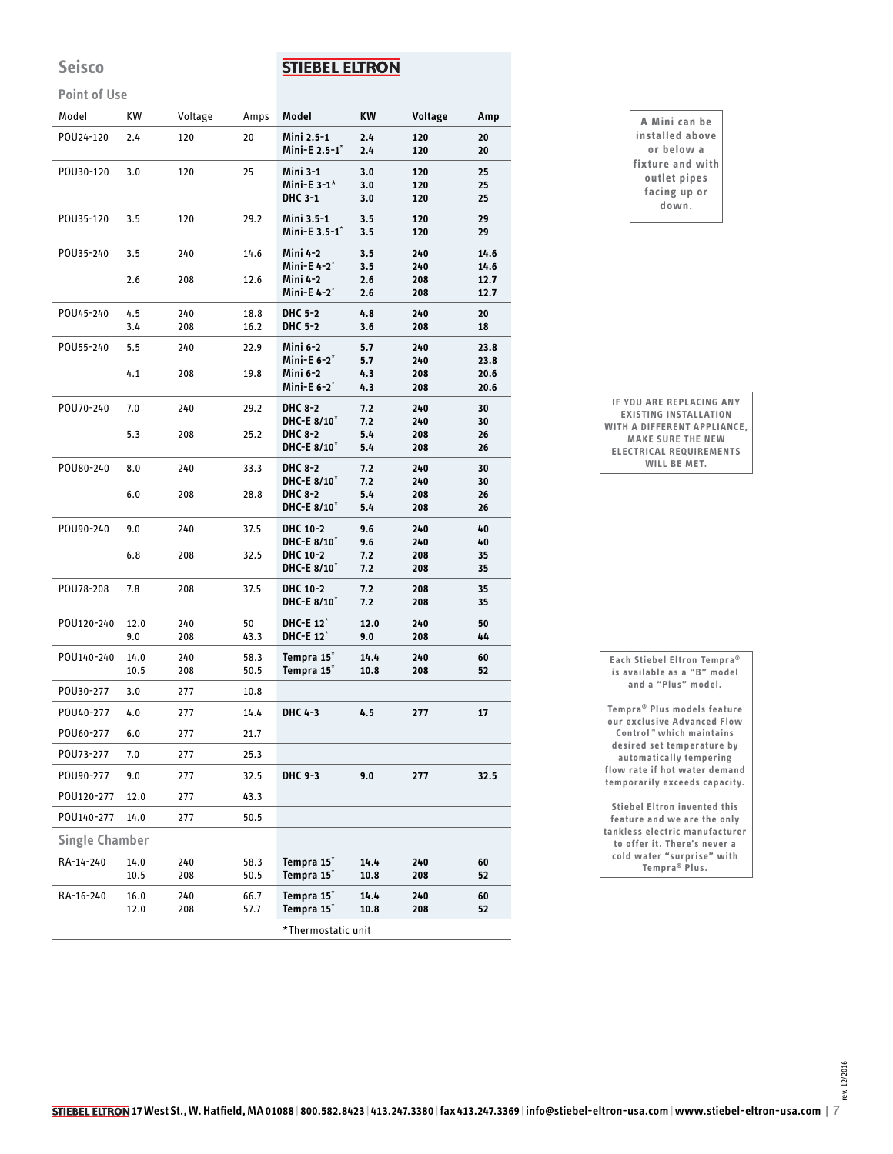### **Seisco**

### **STIEBEL ELTRON**

#### **Point of Use**

| POU24-120<br>POU30-120<br>POU35-120<br>POU35-240<br>POU45-240<br>POU55-240 | 2.4<br>3.0<br>3.5<br>3.5<br>2.6<br>4.5<br>3.4<br>5.5<br>4.1 | 120<br>120<br>120<br>240<br>208<br>240<br>208<br>240 | 20<br>25<br>29.2<br>14.6<br>12.6<br>18.8<br>16.2 | Mini 2.5-1<br>Mini-E 2.5-1 <sup>*</sup><br>Mini 3-1<br>Mini-E $3-1$ *<br>DHC 3-1<br>Mini 3.5-1<br>Mini-E 3.5-1 <sup>*</sup><br>Mini 4-2<br>Mini-E 4-2 <sup>*</sup><br>Mini 4-2<br>Mini-E 4-2 <sup>*</sup> | 2.4<br>2.4<br>3.0<br>3.0<br>3.0<br>3.5<br>3.5<br>3.5<br>3.5<br>2.6 | 120<br>120<br>120<br>120<br>120<br>120<br>120<br>240<br>240<br>208 | 20<br>20<br>25<br>25<br>25<br>29<br>29<br>14.6<br>14.6 |
|----------------------------------------------------------------------------|-------------------------------------------------------------|------------------------------------------------------|--------------------------------------------------|-----------------------------------------------------------------------------------------------------------------------------------------------------------------------------------------------------------|--------------------------------------------------------------------|--------------------------------------------------------------------|--------------------------------------------------------|
|                                                                            |                                                             |                                                      |                                                  |                                                                                                                                                                                                           |                                                                    |                                                                    |                                                        |
|                                                                            |                                                             |                                                      |                                                  |                                                                                                                                                                                                           |                                                                    |                                                                    |                                                        |
|                                                                            |                                                             |                                                      |                                                  |                                                                                                                                                                                                           |                                                                    |                                                                    |                                                        |
|                                                                            |                                                             |                                                      |                                                  |                                                                                                                                                                                                           |                                                                    |                                                                    |                                                        |
|                                                                            |                                                             |                                                      |                                                  |                                                                                                                                                                                                           | 2.6                                                                | 208                                                                | 12.7<br>12.7                                           |
|                                                                            |                                                             |                                                      |                                                  | <b>DHC 5-2</b>                                                                                                                                                                                            | 4.8                                                                | 240                                                                | 20                                                     |
|                                                                            |                                                             |                                                      |                                                  | <b>DHC 5-2</b>                                                                                                                                                                                            | 3.6                                                                | 208                                                                | 18                                                     |
|                                                                            |                                                             |                                                      | 22.9                                             | Mini 6-2<br>Mini-E $6-2^*$                                                                                                                                                                                | 5.7<br>5.7                                                         | 240<br>240                                                         | 23.8<br>23.8                                           |
|                                                                            |                                                             | 208                                                  | 19.8                                             | Mini 6-2<br>Mini-E $6-2^*$                                                                                                                                                                                | 4.3<br>4.3                                                         | 208<br>208                                                         | 20.6<br>20.6                                           |
| POU70-240                                                                  | 7.0                                                         | 240                                                  | 29.2                                             | DHC 8-2<br>DHC-E 8/10 <sup>*</sup>                                                                                                                                                                        | 7.2<br>7.2                                                         | 240<br>240                                                         | 30<br>30                                               |
|                                                                            | 5.3                                                         | 208                                                  | 25.2                                             | <b>DHC 8-2</b><br>DHC-E 8/10 <sup>*</sup>                                                                                                                                                                 | 5.4<br>5.4                                                         | 208<br>208                                                         | 26<br>26                                               |
| POU80-240                                                                  | 8.0                                                         | 240                                                  | 33.3                                             | DHC 8-2<br>DHC-E 8/10 <sup>*</sup>                                                                                                                                                                        | 7.2<br>7.2                                                         | 240<br>240                                                         | 30<br>30                                               |
|                                                                            | 6.0                                                         | 208                                                  | 28.8                                             | <b>DHC 8-2</b><br>DHC-E 8/10*                                                                                                                                                                             | 5.4<br>5.4                                                         | 208<br>208                                                         | 26<br>26                                               |
| POU90-240                                                                  | 9.0                                                         | 240                                                  | 37.5                                             | DHC 10-2<br>DHC-E 8/10 <sup>*</sup>                                                                                                                                                                       | 9.6<br>9.6                                                         | 240<br>240                                                         | 40<br>40                                               |
|                                                                            | 6.8                                                         | 208                                                  | 32.5                                             | DHC 10-2<br>DHC-E 8/10 <sup>*</sup>                                                                                                                                                                       | 7.2<br>7.2                                                         | 208<br>208                                                         | 35<br>35                                               |
| POU78-208                                                                  | 7.8                                                         | 208                                                  | 37.5                                             | DHC 10-2<br>DHC-E 8/10 <sup>*</sup>                                                                                                                                                                       | 7.2<br>7.2                                                         | 208<br>208                                                         | 35<br>35                                               |
| POU120-240                                                                 | 12.0<br>9.0                                                 | 240<br>208                                           | 50<br>43.3                                       | DHC-E 12 <sup>*</sup><br>DHC-E 12*                                                                                                                                                                        | 12.0<br>9.0                                                        | 240<br>208                                                         | 50<br>44                                               |
| POU140-240                                                                 | 14.0<br>10.5                                                | 240<br>208                                           | 58.3<br>50.5                                     | Tempra 15*<br>Tempra 15 <sup>*</sup>                                                                                                                                                                      | 14.4<br>10.8                                                       | 240<br>208                                                         | 60<br>52                                               |
| POU30-277                                                                  | 3.0                                                         | 277                                                  | 10.8                                             |                                                                                                                                                                                                           |                                                                    |                                                                    |                                                        |
| POU40-277                                                                  | 4.0                                                         | 277                                                  | 14.4                                             | DHC 4-3                                                                                                                                                                                                   | 4.5                                                                | 277                                                                | 17                                                     |
| POU60-277                                                                  | 6.0                                                         | 277                                                  | 21.7                                             |                                                                                                                                                                                                           |                                                                    |                                                                    |                                                        |
| POU73-277                                                                  | 7.0                                                         | 277                                                  | 25.3                                             |                                                                                                                                                                                                           |                                                                    |                                                                    |                                                        |
| POU90-277                                                                  | 9.0                                                         | 277                                                  | 32.5                                             | DHC 9-3                                                                                                                                                                                                   | 9.0                                                                | 277                                                                | 32.5                                                   |
| POU120-277                                                                 | 12.0                                                        | 277                                                  | 43.3                                             |                                                                                                                                                                                                           |                                                                    |                                                                    |                                                        |
| POU140-277                                                                 | 14.0                                                        | 277                                                  | 50.5                                             |                                                                                                                                                                                                           |                                                                    |                                                                    |                                                        |
| <b>Single Chamber</b>                                                      |                                                             |                                                      |                                                  |                                                                                                                                                                                                           |                                                                    |                                                                    |                                                        |
| RA-14-240                                                                  | 14.0<br>10.5                                                | 240<br>208                                           | 58.3<br>50.5                                     | Tempra 15 <sup>*</sup><br>Tempra 15 <sup>*</sup>                                                                                                                                                          | 14.4<br>10.8                                                       | 240<br>208                                                         | 60<br>52                                               |
| RA-16-240                                                                  | 16.0<br>12.0                                                | 240<br>208                                           | 66.7<br>57.7                                     | Tempra 15 <sup>*</sup><br>Tempra 15*                                                                                                                                                                      | 14.4<br>10.8                                                       | 240<br>208                                                         | 60<br>52                                               |

#### **A Mini can be installed above or below a fixture and with outlet pipes facing up or down.**

**IF YOU ARE REPLACING ANY EXISTING INSTALLATION WITH A DIFFERENT APPLIANCE, MAKE SURE THE NEW ELECTRICAL REQUIREMENTS WILL BE MET.**

| Each Stiebel Eltron Tempra <sup>®</sup> |
|-----------------------------------------|
| is available as a "B" model             |
| and a "Plus" model.                     |
| Tempra® Plus models feature             |
| our exclusive Advanced Flow             |
| Control <sup>™</sup> which maintains    |
| desired set temperature by              |

**automatically tempering flow rate if hot water demand temporarily exceeds capacity.**